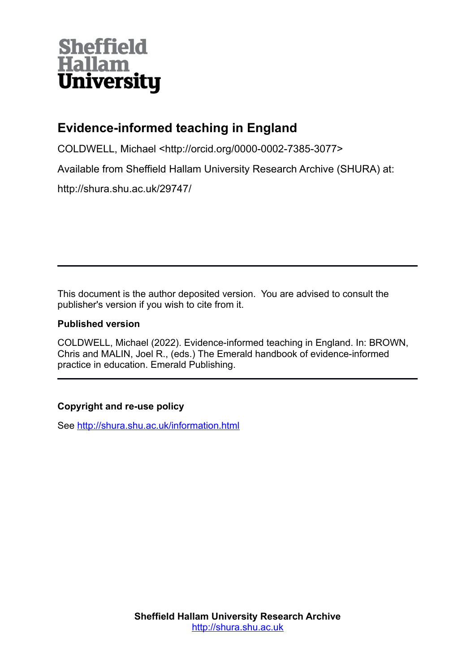# **Sheffield Hallam University**

# **Evidence-informed teaching in England**

COLDWELL, Michael <http://orcid.org/0000-0002-7385-3077>

Available from Sheffield Hallam University Research Archive (SHURA) at:

http://shura.shu.ac.uk/29747/

This document is the author deposited version. You are advised to consult the publisher's version if you wish to cite from it.

## **Published version**

COLDWELL, Michael (2022). Evidence-informed teaching in England. In: BROWN, Chris and MALIN, Joel R., (eds.) The Emerald handbook of evidence-informed practice in education. Emerald Publishing.

# **Copyright and re-use policy**

See<http://shura.shu.ac.uk/information.html>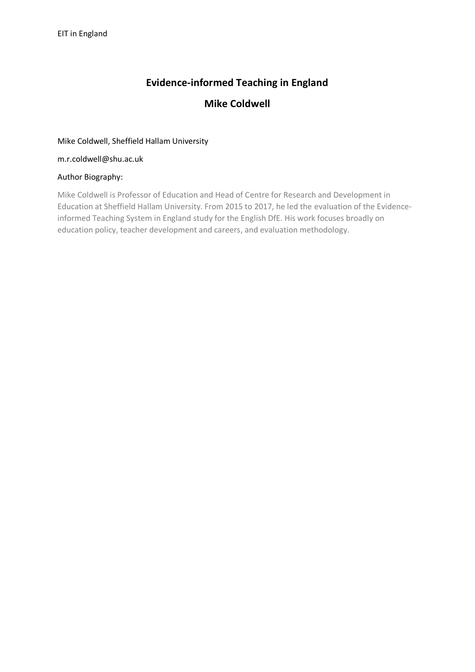# **Evidence-informed Teaching in England**

## **Mike Coldwell**

#### Mike Coldwell, Sheffield Hallam University

m.r.coldwell@shu.ac.uk

#### Author Biography:

Mike Coldwell is Professor of Education and Head of Centre for Research and Development in Education at Sheffield Hallam University. From 2015 to 2017, he led the evaluation of the Evidenceinformed Teaching System in England study for the English DfE. His work focuses broadly on education policy, teacher development and careers, and evaluation methodology.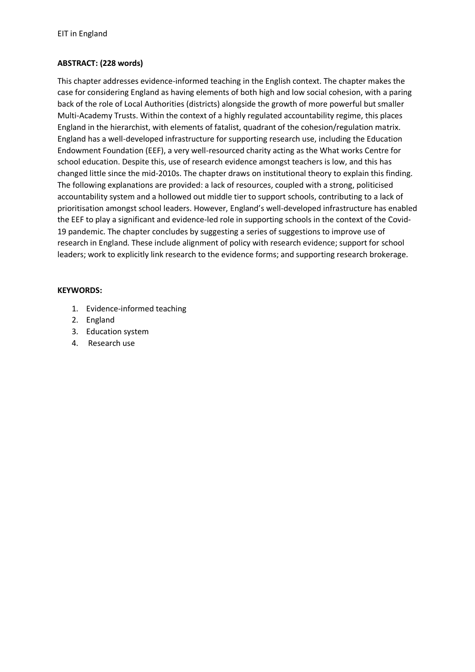#### **ABSTRACT: (228 words)**

This chapter addresses evidence-informed teaching in the English context. The chapter makes the case for considering England as having elements of both high and low social cohesion, with a paring back of the role of Local Authorities (districts) alongside the growth of more powerful but smaller Multi-Academy Trusts. Within the context of a highly regulated accountability regime, this places England in the hierarchist, with elements of fatalist, quadrant of the cohesion/regulation matrix. England has a well-developed infrastructure for supporting research use, including the Education Endowment Foundation (EEF), a very well-resourced charity acting as the What works Centre for school education. Despite this, use of research evidence amongst teachers is low, and this has changed little since the mid-2010s. The chapter draws on institutional theory to explain this finding. The following explanations are provided: a lack of resources, coupled with a strong, politicised accountability system and a hollowed out middle tier to support schools, contributing to a lack of prioritisation amongst school leaders. However, England's well-developed infrastructure has enabled the EEF to play a significant and evidence-led role in supporting schools in the context of the Covid-19 pandemic. The chapter concludes by suggesting a series of suggestions to improve use of research in England. These include alignment of policy with research evidence; support for school leaders; work to explicitly link research to the evidence forms; and supporting research brokerage.

#### **KEYWORDS:**

- 1. Evidence-informed teaching
- 2. England
- 3. Education system
- 4. Research use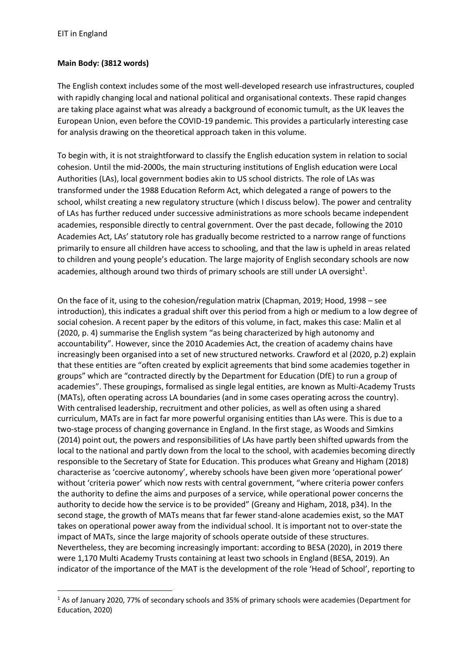#### **Main Body: (3812 words)**

The English context includes some of the most well-developed research use infrastructures, coupled with rapidly changing local and national political and organisational contexts. These rapid changes are taking place against what was already a background of economic tumult, as the UK leaves the European Union, even before the COVID-19 pandemic. This provides a particularly interesting case for analysis drawing on the theoretical approach taken in this volume.

To begin with, it is not straightforward to classify the English education system in relation to social cohesion. Until the mid-2000s, the main structuring institutions of English education were Local Authorities (LAs), local government bodies akin to US school districts. The role of LAs was transformed under the 1988 Education Reform Act, which delegated a range of powers to the school, whilst creating a new regulatory structure (which I discuss below). The power and centrality of LAs has further reduced under successive administrations as more schools became independent academies, responsible directly to central government. Over the past decade, following the 2010 Academies Act, LAs' statutory role has gradually become restricted to a narrow range of functions primarily to ensure all children have access to schooling, and that the law is upheld in areas related to children and young people's education. The large majority of English secondary schools are now academies, although around two thirds of primary schools are still under LA oversight<sup>1</sup>.

On the face of it, using to the cohesion/regulation matrix (Chapman, 2019; Hood, 1998 – see introduction), this indicates a gradual shift over this period from a high or medium to a low degree of social cohesion. A recent paper by the editors of this volume, in fact, makes this case: Malin et al (2020, p. 4) summarise the English system "as being characterized by high autonomy and accountability". However, since the 2010 Academies Act, the creation of academy chains have increasingly been organised into a set of new structured networks. Crawford et al (2020, p.2) explain that these entities are "often created by explicit agreements that bind some academies together in groups" which are "contracted directly by the Department for Education (DfE) to run a group of academies". These groupings, formalised as single legal entities, are known as Multi-Academy Trusts (MATs), often operating across LA boundaries (and in some cases operating across the country). With centralised leadership, recruitment and other policies, as well as often using a shared curriculum, MATs are in fact far more powerful organising entities than LAs were. This is due to a two-stage process of changing governance in England. In the first stage, as Woods and Simkins (2014) point out, the powers and responsibilities of LAs have partly been shifted upwards from the local to the national and partly down from the local to the school, with academies becoming directly responsible to the Secretary of State for Education. This produces what Greany and Higham (2018) characterise as 'coercive autonomy', whereby schools have been given more 'operational power' without 'criteria power' which now rests with central government, "where criteria power confers the authority to define the aims and purposes of a service, while operational power concerns the authority to decide how the service is to be provided" (Greany and Higham, 2018, p34). In the second stage, the growth of MATs means that far fewer stand-alone academies exist, so the MAT takes on operational power away from the individual school. It is important not to over-state the impact of MATs, since the large majority of schools operate outside of these structures. Nevertheless, they are becoming increasingly important: according to BESA (2020), in 2019 there were 1,170 Multi Academy Trusts containing at least two schools in England (BESA, 2019). An indicator of the importance of the MAT is the development of the role 'Head of School', reporting to

<sup>1</sup> As of January 2020, 77% of secondary schools and 35% of primary schools were academies (Department for Education, 2020)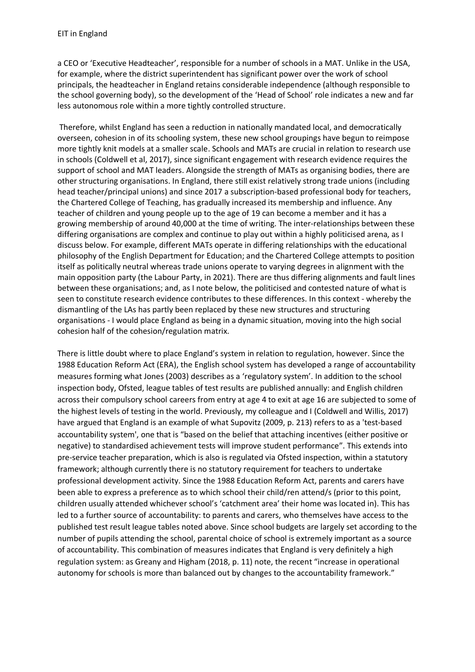a CEO or 'Executive Headteacher', responsible for a number of schools in a MAT. Unlike in the USA, for example, where the district superintendent has significant power over the work of school principals, the headteacher in England retains considerable independence (although responsible to the school governing body), so the development of the 'Head of School' role indicates a new and far less autonomous role within a more tightly controlled structure.

Therefore, whilst England has seen a reduction in nationally mandated local, and democratically overseen, cohesion in of its schooling system, these new school groupings have begun to reimpose more tightly knit models at a smaller scale. Schools and MATs are crucial in relation to research use in schools (Coldwell et al, 2017), since significant engagement with research evidence requires the support of school and MAT leaders. Alongside the strength of MATs as organising bodies, there are other structuring organisations. In England, there still exist relatively strong trade unions (including head teacher/principal unions) and since 2017 a subscription-based professional body for teachers, the Chartered College of Teaching, has gradually increased its membership and influence. Any teacher of children and young people up to the age of 19 can become a member and it has a growing membership of around 40,000 at the time of writing. The inter-relationships between these differing organisations are complex and continue to play out within a highly politicised arena, as I discuss below. For example, different MATs operate in differing relationships with the educational philosophy of the English Department for Education; and the Chartered College attempts to position itself as politically neutral whereas trade unions operate to varying degrees in alignment with the main opposition party (the Labour Party, in 2021). There are thus differing alignments and fault lines between these organisations; and, as I note below, the politicised and contested nature of what is seen to constitute research evidence contributes to these differences. In this context - whereby the dismantling of the LAs has partly been replaced by these new structures and structuring organisations - I would place England as being in a dynamic situation, moving into the high social cohesion half of the cohesion/regulation matrix.

There is little doubt where to place England's system in relation to regulation, however. Since the 1988 Education Reform Act (ERA), the English school system has developed a range of accountability measures forming what Jones (2003) describes as a 'regulatory system'. In addition to the school inspection body, Ofsted, league tables of test results are published annually: and English children across their compulsory school careers from entry at age 4 to exit at age 16 are subjected to some of the highest levels of testing in the world. Previously, my colleague and I (Coldwell and Willis, 2017) have argued that England is an example of what Supovitz (2009, p. 213) refers to as a 'test-based accountability system', one that is "based on the belief that attaching incentives (either positive or negative) to standardised achievement tests will improve student performance". This extends into pre-service teacher preparation, which is also is regulated via Ofsted inspection, within a statutory framework; although currently there is no statutory requirement for teachers to undertake professional development activity. Since the 1988 Education Reform Act, parents and carers have been able to express a preference as to which school their child/ren attend/s (prior to this point, children usually attended whichever school's 'catchment area' their home was located in). This has led to a further source of accountability: to parents and carers, who themselves have access to the published test result league tables noted above. Since school budgets are largely set according to the number of pupils attending the school, parental choice of school is extremely important as a source of accountability. This combination of measures indicates that England is very definitely a high regulation system: as Greany and Higham (2018, p. 11) note, the recent "increase in operational autonomy for schools is more than balanced out by changes to the accountability framework."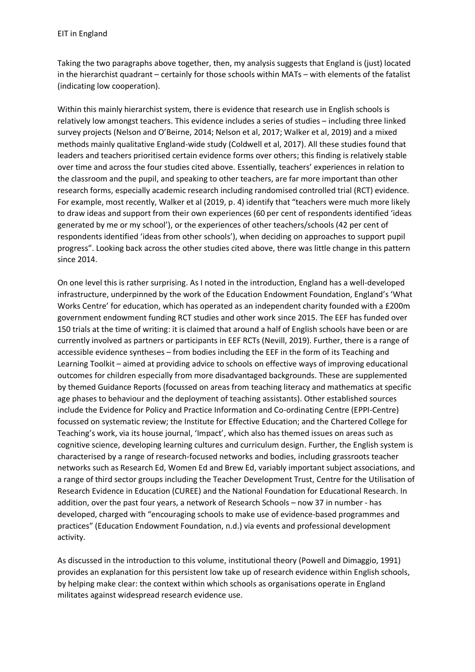Taking the two paragraphs above together, then, my analysis suggests that England is (just) located in the hierarchist quadrant – certainly for those schools within MATs – with elements of the fatalist (indicating low cooperation).

Within this mainly hierarchist system, there is evidence that research use in English schools is relatively low amongst teachers. This evidence includes a series of studies – including three linked survey projects (Nelson and O'Beirne, 2014; Nelson et al, 2017; Walker et al, 2019) and a mixed methods mainly qualitative England-wide study (Coldwell et al, 2017). All these studies found that leaders and teachers prioritised certain evidence forms over others; this finding is relatively stable over time and across the four studies cited above. Essentially, teachers' experiences in relation to the classroom and the pupil, and speaking to other teachers, are far more important than other research forms, especially academic research including randomised controlled trial (RCT) evidence. For example, most recently, Walker et al (2019, p. 4) identify that "teachers were much more likely to draw ideas and support from their own experiences (60 per cent of respondents identified 'ideas generated by me or my school'), or the experiences of other teachers/schools (42 per cent of respondents identified 'ideas from other schools'), when deciding on approaches to support pupil progress". Looking back across the other studies cited above, there was little change in this pattern since 2014.

On one level this is rather surprising. As I noted in the introduction, England has a well-developed infrastructure, underpinned by the work of the Education Endowment Foundation, England's 'What Works Centre' for education, which has operated as an independent charity founded with a £200m government endowment funding RCT studies and other work since 2015. The EEF has funded over 150 trials at the time of writing: it is claimed that around a half of English schools have been or are currently involved as partners or participants in EEF RCTs (Nevill, 2019). Further, there is a range of accessible evidence syntheses – from bodies including the EEF in the form of its Teaching and Learning Toolkit – aimed at providing advice to schools on effective ways of improving educational outcomes for children especially from more disadvantaged backgrounds. These are supplemented by themed Guidance Reports (focussed on areas from teaching literacy and mathematics at specific age phases to behaviour and the deployment of teaching assistants). Other established sources include the Evidence for Policy and Practice Information and Co-ordinating Centre (EPPI-Centre) focussed on systematic review; the Institute for Effective Education; and the Chartered College for Teaching's work, via its house journal, 'Impact', which also has themed issues on areas such as cognitive science, developing learning cultures and curriculum design. Further, the English system is characterised by a range of research-focused networks and bodies, including grassroots teacher networks such as Research Ed, Women Ed and Brew Ed, variably important subject associations, and a range of third sector groups including the Teacher Development Trust, Centre for the Utilisation of Research Evidence in Education (CUREE) and the National Foundation for Educational Research. In addition, over the past four years, a network of Research Schools – now 37 in number - has developed, charged with "encouraging schools to make use of evidence-based programmes and practices" (Education Endowment Foundation, n.d.) via events and professional development activity.

As discussed in the introduction to this volume, institutional theory (Powell and Dimaggio, 1991) provides an explanation for this persistent low take up of research evidence within English schools, by helping make clear: the context within which schools as organisations operate in England militates against widespread research evidence use.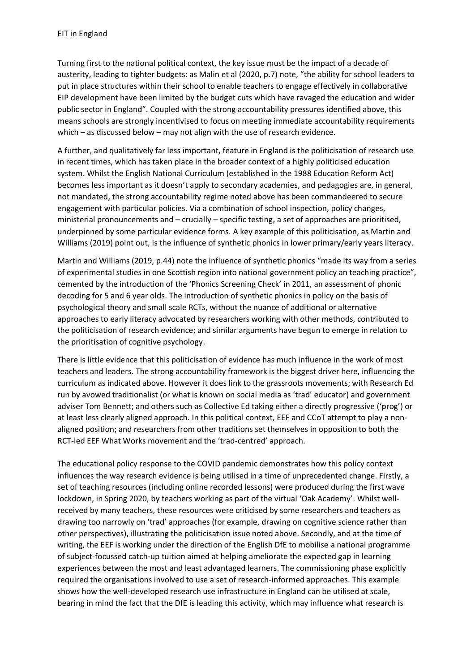Turning first to the national political context, the key issue must be the impact of a decade of austerity, leading to tighter budgets: as Malin et al (2020, p.7) note, "the ability for school leaders to put in place structures within their school to enable teachers to engage effectively in collaborative EIP development have been limited by the budget cuts which have ravaged the education and wider public sector in England". Coupled with the strong accountability pressures identified above, this means schools are strongly incentivised to focus on meeting immediate accountability requirements which – as discussed below – may not align with the use of research evidence.

A further, and qualitatively far less important, feature in England is the politicisation of research use in recent times, which has taken place in the broader context of a highly politicised education system. Whilst the English National Curriculum (established in the 1988 Education Reform Act) becomes less important as it doesn't apply to secondary academies, and pedagogies are, in general, not mandated, the strong accountability regime noted above has been commandeered to secure engagement with particular policies. Via a combination of school inspection, policy changes, ministerial pronouncements and – crucially – specific testing, a set of approaches are prioritised, underpinned by some particular evidence forms. A key example of this politicisation, as Martin and Williams (2019) point out, is the influence of synthetic phonics in lower primary/early years literacy.

Martin and Williams (2019, p.44) note the influence of synthetic phonics "made its way from a series of experimental studies in one Scottish region into national government policy an teaching practice", cemented by the introduction of the 'Phonics Screening Check' in 2011, an assessment of phonic decoding for 5 and 6 year olds. The introduction of synthetic phonics in policy on the basis of psychological theory and small scale RCTs, without the nuance of additional or alternative approaches to early literacy advocated by researchers working with other methods, contributed to the politicisation of research evidence; and similar arguments have begun to emerge in relation to the prioritisation of cognitive psychology.

There is little evidence that this politicisation of evidence has much influence in the work of most teachers and leaders. The strong accountability framework is the biggest driver here, influencing the curriculum as indicated above. However it does link to the grassroots movements; with Research Ed run by avowed traditionalist (or what is known on social media as 'trad' educator) and government adviser Tom Bennett; and others such as Collective Ed taking either a directly progressive ('prog') or at least less clearly aligned approach. In this political context, EEF and CCoT attempt to play a nonaligned position; and researchers from other traditions set themselves in opposition to both the RCT-led EEF What Works movement and the 'trad-centred' approach.

The educational policy response to the COVID pandemic demonstrates how this policy context influences the way research evidence is being utilised in a time of unprecedented change. Firstly, a set of teaching resources (including online recorded lessons) were produced during the first wave lockdown, in Spring 2020, by teachers working as part of the virtual 'Oak Academy'. Whilst wellreceived by many teachers, these resources were criticised by some researchers and teachers as drawing too narrowly on 'trad' approaches (for example, drawing on cognitive science rather than other perspectives), illustrating the politicisation issue noted above. Secondly, and at the time of writing, the EEF is working under the direction of the English DfE to mobilise a national programme of subject-focussed catch-up tuition aimed at helping ameliorate the expected gap in learning experiences between the most and least advantaged learners. The commissioning phase explicitly required the organisations involved to use a set of research-informed approaches. This example shows how the well-developed research use infrastructure in England can be utilised at scale, bearing in mind the fact that the DfE is leading this activity, which may influence what research is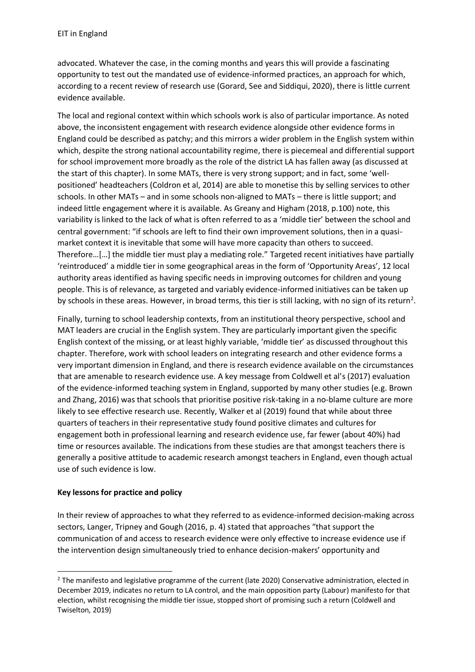advocated. Whatever the case, in the coming months and years this will provide a fascinating opportunity to test out the mandated use of evidence-informed practices, an approach for which, according to a recent review of research use (Gorard, See and Siddiqui, 2020), there is little current evidence available.

The local and regional context within which schools work is also of particular importance. As noted above, the inconsistent engagement with research evidence alongside other evidence forms in England could be described as patchy; and this mirrors a wider problem in the English system within which, despite the strong national accountability regime, there is piecemeal and differential support for school improvement more broadly as the role of the district LA has fallen away (as discussed at the start of this chapter). In some MATs, there is very strong support; and in fact, some 'wellpositioned' headteachers (Coldron et al, 2014) are able to monetise this by selling services to other schools. In other MATs – and in some schools non-aligned to MATs – there is little support; and indeed little engagement where it is available. As Greany and Higham (2018, p.100) note, this variability is linked to the lack of what is often referred to as a 'middle tier' between the school and central government: "if schools are left to find their own improvement solutions, then in a quasimarket context it is inevitable that some will have more capacity than others to succeed. Therefore…[…] the middle tier must play a mediating role." Targeted recent initiatives have partially 'reintroduced' a middle tier in some geographical areas in the form of 'Opportunity Areas', 12 local authority areas identified as having specific needs in improving outcomes for children and young people. This is of relevance, as targeted and variably evidence-informed initiatives can be taken up by schools in these areas. However, in broad terms, this tier is still lacking, with no sign of its return<sup>2</sup>.

Finally, turning to school leadership contexts, from an institutional theory perspective, school and MAT leaders are crucial in the English system. They are particularly important given the specific English context of the missing, or at least highly variable, 'middle tier' as discussed throughout this chapter. Therefore, work with school leaders on integrating research and other evidence forms a very important dimension in England, and there is research evidence available on the circumstances that are amenable to research evidence use. A key message from Coldwell et al's (2017) evaluation of the evidence-informed teaching system in England, supported by many other studies (e.g. Brown and Zhang, 2016) was that schools that prioritise positive risk-taking in a no-blame culture are more likely to see effective research use. Recently, Walker et al (2019) found that while about three quarters of teachers in their representative study found positive climates and cultures for engagement both in professional learning and research evidence use, far fewer (about 40%) had time or resources available. The indications from these studies are that amongst teachers there is generally a positive attitude to academic research amongst teachers in England, even though actual use of such evidence is low.

#### **Key lessons for practice and policy**

In their review of approaches to what they referred to as evidence-informed decision-making across sectors, Langer, Tripney and Gough (2016, p. 4) stated that approaches "that support the communication of and access to research evidence were only effective to increase evidence use if the intervention design simultaneously tried to enhance decision-makers' opportunity and

<sup>&</sup>lt;sup>2</sup> The manifesto and legislative programme of the current (late 2020) Conservative administration, elected in December 2019, indicates no return to LA control, and the main opposition party (Labour) manifesto for that election, whilst recognising the middle tier issue, stopped short of promising such a return (Coldwell and Twiselton, 2019)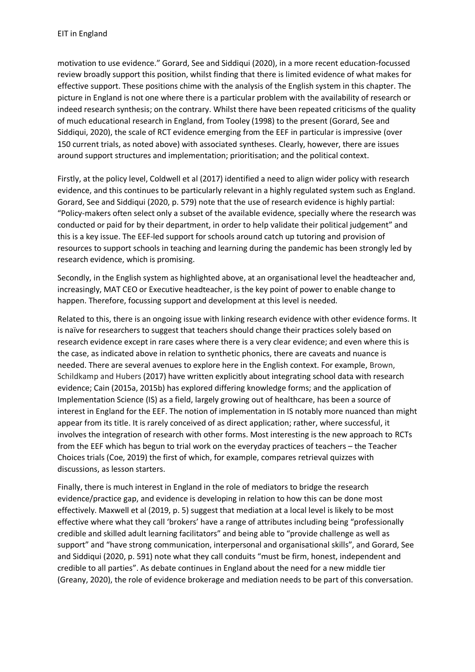motivation to use evidence." Gorard, See and Siddiqui (2020), in a more recent education-focussed review broadly support this position, whilst finding that there is limited evidence of what makes for effective support. These positions chime with the analysis of the English system in this chapter. The picture in England is not one where there is a particular problem with the availability of research or indeed research synthesis; on the contrary. Whilst there have been repeated criticisms of the quality of much educational research in England, from Tooley (1998) to the present (Gorard, See and Siddiqui, 2020), the scale of RCT evidence emerging from the EEF in particular is impressive (over 150 current trials, as noted above) with associated syntheses. Clearly, however, there are issues around support structures and implementation; prioritisation; and the political context.

Firstly, at the policy level, Coldwell et al (2017) identified a need to align wider policy with research evidence, and this continues to be particularly relevant in a highly regulated system such as England. Gorard, See and Siddiqui (2020, p. 579) note that the use of research evidence is highly partial: "Policy‐makers often select only a subset of the available evidence, specially where the research was conducted or paid for by their department, in order to help validate their political judgement" and this is a key issue. The EEF-led support for schools around catch up tutoring and provision of resources to support schools in teaching and learning during the pandemic has been strongly led by research evidence, which is promising.

Secondly, in the English system as highlighted above, at an organisational level the headteacher and, increasingly, MAT CEO or Executive headteacher, is the key point of power to enable change to happen. Therefore, focussing support and development at this level is needed.

Related to this, there is an ongoing issue with linking research evidence with other evidence forms. It is naïve for researchers to suggest that teachers should change their practices solely based on research evidence except in rare cases where there is a very clear evidence; and even where this is the case, as indicated above in relation to synthetic phonics, there are caveats and nuance is needed. There are several avenues to explore here in the English context. For example, Brown, Schildkamp and Hubers (2017) have written explicitly about integrating school data with research evidence; Cain (2015a, 2015b) has explored differing knowledge forms; and the application of Implementation Science (IS) as a field, largely growing out of healthcare, has been a source of interest in England for the EEF. The notion of implementation in IS notably more nuanced than might appear from its title. It is rarely conceived of as direct application; rather, where successful, it involves the integration of research with other forms. Most interesting is the new approach to RCTs from the EEF which has begun to trial work on the everyday practices of teachers – the Teacher Choices trials (Coe, 2019) the first of which, for example, compares retrieval quizzes with discussions, as lesson starters.

Finally, there is much interest in England in the role of mediators to bridge the research evidence/practice gap, and evidence is developing in relation to how this can be done most effectively. Maxwell et al (2019, p. 5) suggest that mediation at a local level is likely to be most effective where what they call 'brokers' have a range of attributes including being "professionally credible and skilled adult learning facilitators" and being able to "provide challenge as well as support" and "have strong communication, interpersonal and organisational skills", and Gorard, See and Siddiqui (2020, p. 591) note what they call conduits "must be firm, honest, independent and credible to all parties". As debate continues in England about the need for a new middle tier (Greany, 2020), the role of evidence brokerage and mediation needs to be part of this conversation.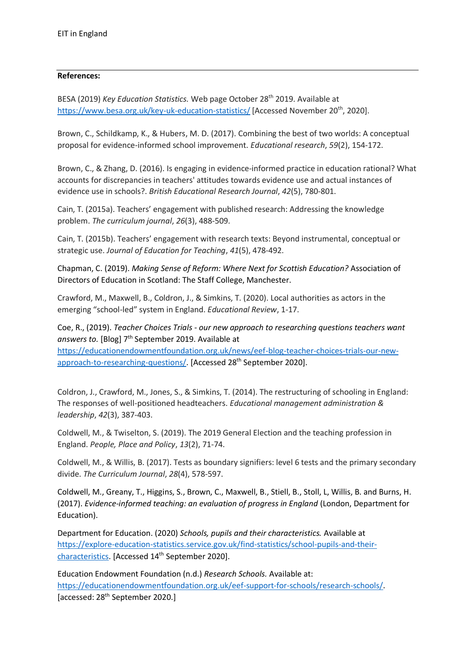#### **References:**

BESA (2019) *Key Education Statistics.* Web page October 28th 2019. Available at <https://www.besa.org.uk/key-uk-education-statistics/> [Accessed November 20<sup>th</sup>, 2020].

Brown, C., Schildkamp, K., & Hubers, M. D. (2017). Combining the best of two worlds: A conceptual proposal for evidence-informed school improvement. *Educational research*, *59*(2), 154-172.

Brown, C., & Zhang, D. (2016). Is engaging in evidence-informed practice in education rational? What accounts for discrepancies in teachers' attitudes towards evidence use and actual instances of evidence use in schools?. *British Educational Research Journal*, *42*(5), 780-801.

Cain, T. (2015a). Teachers' engagement with published research: Addressing the knowledge problem. *The curriculum journal*, *26*(3), 488-509.

Cain, T. (2015b). Teachers' engagement with research texts: Beyond instrumental, conceptual or strategic use. *Journal of Education for Teaching*, *41*(5), 478-492.

Chapman, C. (2019). *Making Sense of Reform: Where Next for Scottish Education?* Association of Directors of Education in Scotland: The Staff College, Manchester.

Crawford, M., Maxwell, B., Coldron, J., & Simkins, T. (2020). Local authorities as actors in the emerging "school-led" system in England. *Educational Review*, 1-17.

Coe, R., (2019). *Teacher Choices Trials - our new approach to researching questions teachers want* answers to. [Blog] 7<sup>th</sup> September 2019. Available at [https://educationendowmentfoundation.org.uk/news/eef-blog-teacher-choices-trials-our-new-](https://educationendowmentfoundation.org.uk/news/eef-blog-teacher-choices-trials-our-new-approach-to-researching-questions/)

[approach-to-researching-questions/.](https://educationendowmentfoundation.org.uk/news/eef-blog-teacher-choices-trials-our-new-approach-to-researching-questions/) [Accessed 28<sup>th</sup> September 2020].

Coldron, J., Crawford, M., Jones, S., & Simkins, T. (2014). The restructuring of schooling in England: The responses of well-positioned headteachers. *Educational management administration & leadership*, *42*(3), 387-403.

Coldwell, M., & Twiselton, S. (2019). The 2019 General Election and the teaching profession in England. *People, Place and Policy*, *13*(2), 71-74.

Coldwell, M., & Willis, B. (2017). Tests as boundary signifiers: level 6 tests and the primary secondary divide. *The Curriculum Journal*, *28*(4), 578-597.

Coldwell, M., Greany, T., Higgins, S., Brown, C., Maxwell, B., Stiell, B., Stoll, L, Willis, B. and Burns, H. (2017). *Evidence-informed teaching: an evaluation of progress in England* (London, Department for Education).

Department for Education. (2020) *Schools, pupils and their characteristics.* Available at [https://explore-education-statistics.service.gov.uk/find-statistics/school-pupils-and-their](https://explore-education-statistics.service.gov.uk/find-statistics/school-pupils-and-their-characteristics)[characteristics.](https://explore-education-statistics.service.gov.uk/find-statistics/school-pupils-and-their-characteristics) [Accessed 14<sup>th</sup> September 2020].

Education Endowment Foundation (n.d.) *Research Schools.* Available at: [https://educationendowmentfoundation.org.uk/eef-support-for-schools/research-schools/.](https://educationendowmentfoundation.org.uk/eef-support-for-schools/research-schools/) [accessed: 28<sup>th</sup> September 2020.]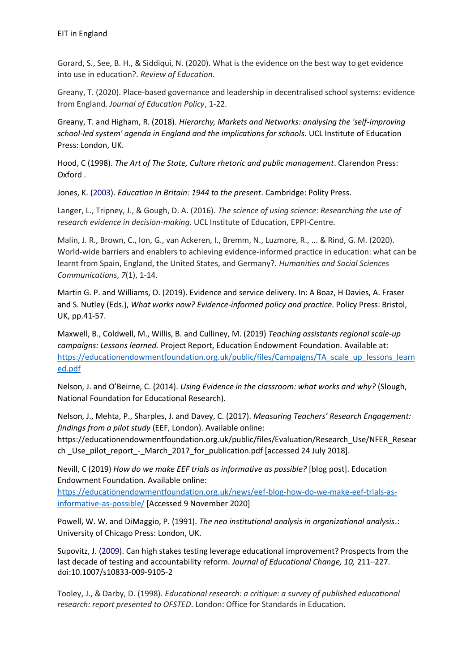Gorard, S., See, B. H., & Siddiqui, N. (2020). What is the evidence on the best way to get evidence into use in education?. *Review of Education*.

Greany, T. (2020). Place-based governance and leadership in decentralised school systems: evidence from England. *Journal of Education Policy*, 1-22.

Greany, T. and Higham, R. (2018). *Hierarchy, Markets and Networks: analysing the 'self-improving school-led system' agenda in England and the implications for schools*. UCL Institute of Education Press: London, UK.

Hood, C (1998). *The Art of The State, Culture rhetoric and public management*. Clarendon Press: Oxford .

Jones, K. (2003). *Education in Britain: 1944 to the present*. Cambridge: Polity Press.

Langer, L., Tripney, J., & Gough, D. A. (2016). *The science of using science: Researching the use of research evidence in decision-making*. UCL Institute of Education, EPPI-Centre.

Malin, J. R., Brown, C., Ion, G., van Ackeren, I., Bremm, N., Luzmore, R., ... & Rind, G. M. (2020). World-wide barriers and enablers to achieving evidence-informed practice in education: what can be learnt from Spain, England, the United States, and Germany?. *Humanities and Social Sciences Communications*, *7*(1), 1-14.

Martin G. P. and Williams, O. (2019). Evidence and service delivery. In: A Boaz, H Davies, A. Fraser and S. Nutley (Eds.), *What works now? Evidence-informed policy and practice*. Policy Press: Bristol, UK, pp.41-57.

Maxwell, B., Coldwell, M., Willis, B. and Culliney, M. (2019) *Teaching assistants regional scale-up campaigns: Lessons learned.* Project Report, Education Endowment Foundation. Available at: [https://educationendowmentfoundation.org.uk/public/files/Campaigns/TA\\_scale\\_up\\_lessons\\_learn](https://educationendowmentfoundation.org.uk/public/files/Campaigns/TA_scale_up_lessons_learned.pdf) [ed.pdf](https://educationendowmentfoundation.org.uk/public/files/Campaigns/TA_scale_up_lessons_learned.pdf)

Nelson, J. and O'Beirne, C. (2014). *Using Evidence in the classroom: what works and why?* (Slough, National Foundation for Educational Research).

Nelson, J., Mehta, P., Sharples, J. and Davey, C. (2017). *Measuring Teachers' Research Engagement: findings from a pilot study* (EEF, London). Available online:

https://educationendowmentfoundation.org.uk/public/files/Evaluation/Research\_Use/NFER\_Resear ch Use pilot report - March 2017 for publication.pdf [accessed 24 July 2018].

Nevill, C (2019) *How do we make EEF trials as informative as possible?* [blog post]. Education Endowment Foundation. Available online:

[https://educationendowmentfoundation.org.uk/news/eef-blog-how-do-we-make-eef-trials-as](https://educationendowmentfoundation.org.uk/news/eef-blog-how-do-we-make-eef-trials-as-informative-as-possible/)[informative-as-possible/](https://educationendowmentfoundation.org.uk/news/eef-blog-how-do-we-make-eef-trials-as-informative-as-possible/) [Accessed 9 November 2020]

Powell, W. W. and DiMaggio, P. (1991). *The neo institutional analysis in organizational analysis*.: University of Chicago Press: London, UK.

Supovitz, J. (2009). Can high stakes testing leverage educational improvement? Prospects from the last decade of testing and accountability reform. *Journal of Educational Change, 10,* 211–227. doi:10.1007/s10833-009-9105-2

Tooley, J., & Darby, D. (1998). *Educational research: a critique: a survey of published educational research: report presented to OFSTED*. London: Office for Standards in Education.